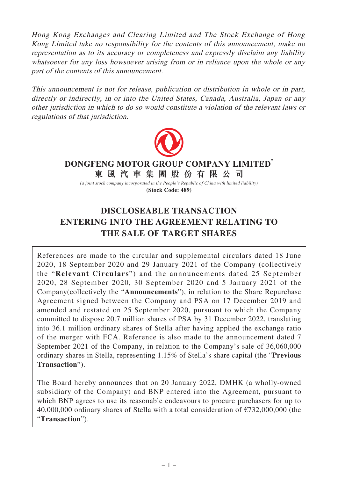Hong Kong Exchanges and Clearing Limited and The Stock Exchange of Hong Kong Limited take no responsibility for the contents of this announcement, make no representation as to its accuracy or completeness and expressly disclaim any liability whatsoever for any loss howsoever arising from or in reliance upon the whole or any part of the contents of this announcement.

This announcement is not for release, publication or distribution in whole or in part, directly or indirectly, in or into the United States, Canada, Australia, Japan or any other jurisdiction in which to do so would constitute a violation of the relevant laws or regulations of that jurisdiction.



## **東風汽車集團股份有限公司 DONGFENG MOTOR GROUP COMPANY LIMITED\***

*(a joint stock company incorporated in the People's Republic of China with limited liability)* **(Stock Code: 489)**

# **DISCLOSEABLE TRANSACTION ENTERING INTO THE AGREEMENT RELATING TO THE SALE OF TARGET SHARES**

References are made to the circular and supplemental circulars dated 18 June 2020, 18 September 2020 and 29 January 2021 of the Company (collectively the "**Relevant Circulars**") and the announcements dated 25 September 2020, 28 September 2020, 30 September 2020 and 5 January 2021 of the Company(collectively the "**Announcements**"), in relation to the Share Repurchase Agreement signed between the Company and PSA on 17 December 2019 and amended and restated on 25 September 2020, pursuant to which the Company committed to dispose 20.7 million shares of PSA by 31 December 2022, translating into 36.1 million ordinary shares of Stella after having applied the exchange ratio of the merger with FCA. Reference is also made to the announcement dated 7 September 2021 of the Company, in relation to the Company's sale of 36,060,000 ordinary shares in Stella, representing 1.15% of Stella's share capital (the "**Previous Transaction**").

The Board hereby announces that on 20 January 2022, DMHK (a wholly-owned subsidiary of the Company) and BNP entered into the Agreement, pursuant to which BNP agrees to use its reasonable endeavours to procure purchasers for up to 40,000,000 ordinary shares of Stella with a total consideration of €732,000,000 (the "**Transaction**").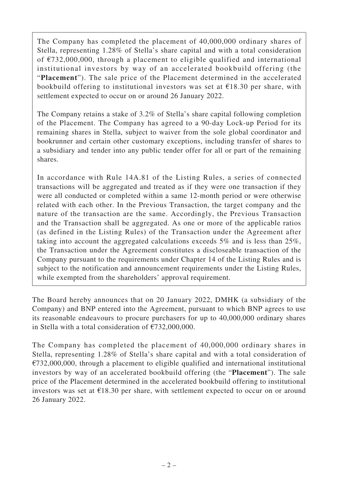The Company has completed the placement of 40,000,000 ordinary shares of Stella, representing 1.28% of Stella's share capital and with a total consideration of €732,000,000, through a placement to eligible qualified and international institutional investors by way of an accelerated bookbuild offering (the "**Placement**"). The sale price of the Placement determined in the accelerated bookbuild offering to institutional investors was set at  $£18.30$  per share, with settlement expected to occur on or around 26 January 2022.

The Company retains a stake of 3.2% of Stella's share capital following completion of the Placement. The Company has agreed to a 90-day Lock-up Period for its remaining shares in Stella, subject to waiver from the sole global coordinator and bookrunner and certain other customary exceptions, including transfer of shares to a subsidiary and tender into any public tender offer for all or part of the remaining shares.

In accordance with Rule 14A.81 of the Listing Rules, a series of connected transactions will be aggregated and treated as if they were one transaction if they were all conducted or completed within a same 12-month period or were otherwise related with each other. In the Previous Transaction, the target company and the nature of the transaction are the same. Accordingly, the Previous Transaction and the Transaction shall be aggregated. As one or more of the applicable ratios (as defined in the Listing Rules) of the Transaction under the Agreement after taking into account the aggregated calculations exceeds 5% and is less than 25%, the Transaction under the Agreement constitutes a discloseable transaction of the Company pursuant to the requirements under Chapter 14 of the Listing Rules and is subject to the notification and announcement requirements under the Listing Rules, while exempted from the shareholders' approval requirement.

The Board hereby announces that on 20 January 2022, DMHK (a subsidiary of the Company) and BNP entered into the Agreement, pursuant to which BNP agrees to use its reasonable endeavours to procure purchasers for up to 40,000,000 ordinary shares in Stella with a total consideration of €732,000,000.

The Company has completed the placement of 40,000,000 ordinary shares in Stella, representing 1.28% of Stella's share capital and with a total consideration of  $€732,000,000$ , through a placement to eligible qualified and international institutional investors by way of an accelerated bookbuild offering (the "**Placement**"). The sale price of the Placement determined in the accelerated bookbuild offering to institutional investors was set at  $£18.30$  per share, with settlement expected to occur on or around 26 January 2022.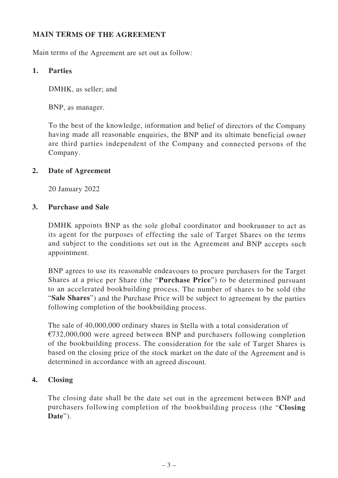# **MAIN TERMS OF THE AGREEMENT**

Main terms of the Agreement are set out as follow:

## **1. Parties**

DMHK, as seller; and

BNP, as manager.

To the best of the knowledge, information and belief of directors of the Company having made all reasonable enquiries, the BNP and its ultimate beneficial owner are third parties independent of the Company and connected persons of the Company.

#### **2. Date of Agreement**

20 January 2022

#### **3. Purchase and Sale**

DMHK appoints BNP as the sole global coordinator and bookrunner to act as its agent for the purposes of effecting the sale of Target Shares on the terms and subject to the conditions set out in the Agreement and BNP accepts such appointment.

BNP agrees to use its reasonable endeavours to procure purchasers for the Target Shares at a price per Share (the "**Purchase Price**") to be determined pursuant to an accelerated bookbuilding process. The number of shares to be sold (the "**Sale Shares**") and the Purchase Price will be subject to agreement by the parties following completion of the bookbuilding process.

The sale of 40,000,000 ordinary shares in Stella with a total consideration of €732,000,000 were agreed between BNP and purchasers following completion of the bookbuilding process. The consideration for the sale of Target Shares is based on the closing price of the stock market on the date of the Agreement and is determined in accordance with an agreed discount.

## **4. Closing**

The closing date shall be the date set out in the agreement between BNP and purchasers following completion of the bookbuilding process (the "**Closing Date**").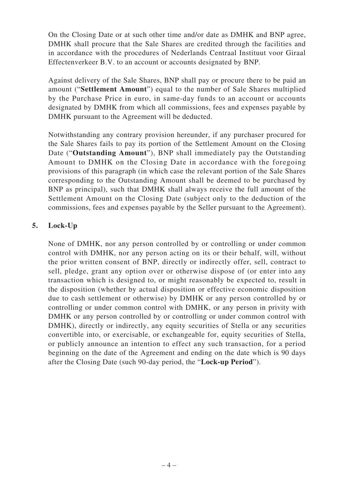On the Closing Date or at such other time and/or date as DMHK and BNP agree, DMHK shall procure that the Sale Shares are credited through the facilities and in accordance with the procedures of Nederlands Centraal Instituut voor Giraal Effectenverkeer B.V. to an account or accounts designated by BNP.

Against delivery of the Sale Shares, BNP shall pay or procure there to be paid an amount ("**Settlement Amount**") equal to the number of Sale Shares multiplied by the Purchase Price in euro, in same-day funds to an account or accounts designated by DMHK from which all commissions, fees and expenses payable by DMHK pursuant to the Agreement will be deducted.

Notwithstanding any contrary provision hereunder, if any purchaser procured for the Sale Shares fails to pay its portion of the Settlement Amount on the Closing Date ("**Outstanding Amount**"), BNP shall immediately pay the Outstanding Amount to DMHK on the Closing Date in accordance with the foregoing provisions of this paragraph (in which case the relevant portion of the Sale Shares corresponding to the Outstanding Amount shall be deemed to be purchased by BNP as principal), such that DMHK shall always receive the full amount of the Settlement Amount on the Closing Date (subject only to the deduction of the commissions, fees and expenses payable by the Seller pursuant to the Agreement).

## **5. Lock-Up**

None of DMHK, nor any person controlled by or controlling or under common control with DMHK, nor any person acting on its or their behalf, will, without the prior written consent of BNP, directly or indirectly offer, sell, contract to sell, pledge, grant any option over or otherwise dispose of (or enter into any transaction which is designed to, or might reasonably be expected to, result in the disposition (whether by actual disposition or effective economic disposition due to cash settlement or otherwise) by DMHK or any person controlled by or controlling or under common control with DMHK, or any person in privity with DMHK or any person controlled by or controlling or under common control with DMHK), directly or indirectly, any equity securities of Stella or any securities convertible into, or exercisable, or exchangeable for, equity securities of Stella, or publicly announce an intention to effect any such transaction, for a period beginning on the date of the Agreement and ending on the date which is 90 days after the Closing Date (such 90-day period, the "**Lock-up Period**").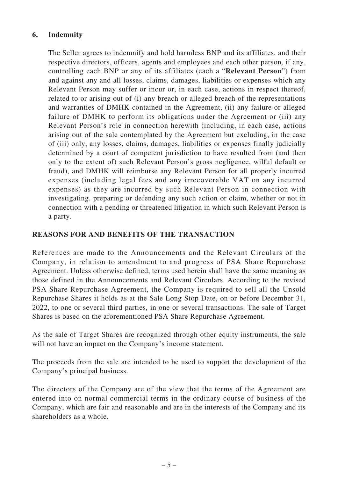## **6. Indemnity**

The Seller agrees to indemnify and hold harmless BNP and its affiliates, and their respective directors, officers, agents and employees and each other person, if any, controlling each BNP or any of its affiliates (each a "**Relevant Person**") from and against any and all losses, claims, damages, liabilities or expenses which any Relevant Person may suffer or incur or, in each case, actions in respect thereof, related to or arising out of (i) any breach or alleged breach of the representations and warranties of DMHK contained in the Agreement, (ii) any failure or alleged failure of DMHK to perform its obligations under the Agreement or (iii) any Relevant Person's role in connection herewith (including, in each case, actions arising out of the sale contemplated by the Agreement but excluding, in the case of (iii) only, any losses, claims, damages, liabilities or expenses finally judicially determined by a court of competent jurisdiction to have resulted from (and then only to the extent of) such Relevant Person's gross negligence, wilful default or fraud), and DMHK will reimburse any Relevant Person for all properly incurred expenses (including legal fees and any irrecoverable VAT on any incurred expenses) as they are incurred by such Relevant Person in connection with investigating, preparing or defending any such action or claim, whether or not in connection with a pending or threatened litigation in which such Relevant Person is a party.

#### **REASONS FOR AND BENEFITS OF THE TRANSACTION**

References are made to the Announcements and the Relevant Circulars of the Company, in relation to amendment to and progress of PSA Share Repurchase Agreement. Unless otherwise defined, terms used herein shall have the same meaning as those defined in the Announcements and Relevant Circulars. According to the revised PSA Share Repurchase Agreement, the Company is required to sell all the Unsold Repurchase Shares it holds as at the Sale Long Stop Date, on or before December 31, 2022, to one or several third parties, in one or several transactions. The sale of Target Shares is based on the aforementioned PSA Share Repurchase Agreement.

As the sale of Target Shares are recognized through other equity instruments, the sale will not have an impact on the Company's income statement.

The proceeds from the sale are intended to be used to support the development of the Company's principal business.

The directors of the Company are of the view that the terms of the Agreement are entered into on normal commercial terms in the ordinary course of business of the Company, which are fair and reasonable and are in the interests of the Company and its shareholders as a whole.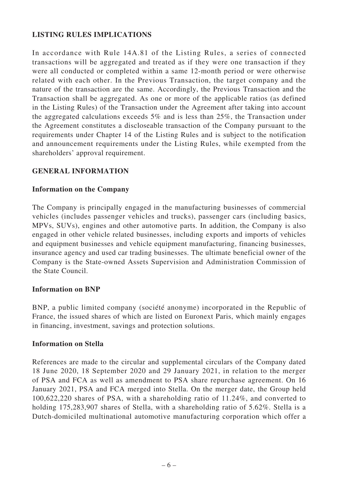# **LISTING RULES IMPLICATIONS**

In accordance with Rule 14A.81 of the Listing Rules, a series of connected transactions will be aggregated and treated as if they were one transaction if they were all conducted or completed within a same 12-month period or were otherwise related with each other. In the Previous Transaction, the target company and the nature of the transaction are the same. Accordingly, the Previous Transaction and the Transaction shall be aggregated. As one or more of the applicable ratios (as defined in the Listing Rules) of the Transaction under the Agreement after taking into account the aggregated calculations exceeds 5% and is less than 25%, the Transaction under the Agreement constitutes a discloseable transaction of the Company pursuant to the requirements under Chapter 14 of the Listing Rules and is subject to the notification and announcement requirements under the Listing Rules, while exempted from the shareholders' approval requirement.

#### **GENERAL INFORMATION**

#### **Information on the Company**

The Company is principally engaged in the manufacturing businesses of commercial vehicles (includes passenger vehicles and trucks), passenger cars (including basics, MPVs, SUVs), engines and other automotive parts. In addition, the Company is also engaged in other vehicle related businesses, including exports and imports of vehicles and equipment businesses and vehicle equipment manufacturing, financing businesses, insurance agency and used car trading businesses. The ultimate beneficial owner of the Company is the State-owned Assets Supervision and Administration Commission of the State Council.

#### **Information on BNP**

BNP, a public limited company (société anonyme) incorporated in the Republic of France, the issued shares of which are listed on Euronext Paris, which mainly engages in financing, investment, savings and protection solutions.

#### **Information on Stella**

References are made to the circular and supplemental circulars of the Company dated 18 June 2020, 18 September 2020 and 29 January 2021, in relation to the merger of PSA and FCA as well as amendment to PSA share repurchase agreement. On 16 January 2021, PSA and FCA merged into Stella. On the merger date, the Group held 100,622,220 shares of PSA, with a shareholding ratio of 11.24%, and converted to holding 175,283,907 shares of Stella, with a shareholding ratio of 5.62%. Stella is a Dutch-domiciled multinational automotive manufacturing corporation which offer a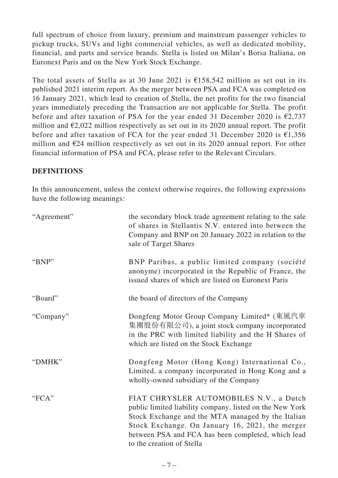full spectrum of choice from luxury, premium and mainstream passenger vehicles to pickup trucks, SUVs and light commercial vehicles, as well as dedicated mobility, financial, and parts and service brands. Stella is listed on Milan's Borsa Italiana, on Euronext Paris and on the New York Stock Exchange.

The total assets of Stella as at 30 June 2021 is  $\epsilon$ 158,542 million as set out in its published 2021 interim report. As the merger between PSA and FCA was completed on 16 January 2021, which lead to creation of Stella, the net profits for the two financial years immediately preceding the Transaction are not applicable for Stella. The profit before and after taxation of PSA for the year ended 31 December 2020 is  $\epsilon$ 2,737 million and  $\epsilon$ 2,022 million respectively as set out in its 2020 annual report. The profit before and after taxation of FCA for the year ended 31 December 2020 is  $£1,356$ million and  $E24$  million respectively as set out in its 2020 annual report. For other financial information of PSA and FCA, please refer to the Relevant Circulars.

## **DEFINITIONS**

In this announcement, unless the context otherwise requires, the following expressions have the following meanings:

| "Agreement" | the secondary block trade agreement relating to the sale<br>of shares in Stellantis N.V. entered into between the<br>Company and BNP on 20 January 2022 in relation to the<br>sale of Target Shares                                                                                            |
|-------------|------------------------------------------------------------------------------------------------------------------------------------------------------------------------------------------------------------------------------------------------------------------------------------------------|
| "BNP"       | BNP Paribas, a public limited company (société<br>anonyme) incorporated in the Republic of France, the<br>issued shares of which are listed on Euronext Paris                                                                                                                                  |
| "Board"     | the board of directors of the Company                                                                                                                                                                                                                                                          |
| "Company"   | Dongfeng Motor Group Company Limited* (東風汽車<br>集團股份有限公司), a joint stock company incorporated<br>in the PRC with limited liability and the H Shares of<br>which are listed on the Stock Exchange                                                                                                |
| "DMHK"      | Dongfeng Motor (Hong Kong) International Co.,<br>Limited, a company incorporated in Hong Kong and a<br>wholly-owned subsidiary of the Company                                                                                                                                                  |
| "FCA"       | FIAT CHRYSLER AUTOMOBILES N.V., a Dutch<br>public limited liability company, listed on the New York<br>Stock Exchange and the MTA managed by the Italian<br>Stock Exchange. On January 16, 2021, the merger<br>between PSA and FCA has been completed, which lead<br>to the creation of Stella |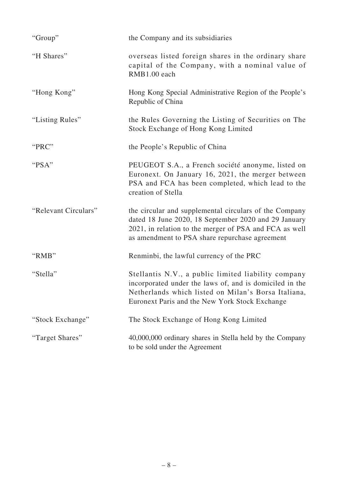| "Group"              | the Company and its subsidiaries                                                                                                                                                                                           |
|----------------------|----------------------------------------------------------------------------------------------------------------------------------------------------------------------------------------------------------------------------|
| "H Shares"           | overseas listed foreign shares in the ordinary share<br>capital of the Company, with a nominal value of<br>RMB1.00 each                                                                                                    |
| "Hong Kong"          | Hong Kong Special Administrative Region of the People's<br>Republic of China                                                                                                                                               |
| "Listing Rules"      | the Rules Governing the Listing of Securities on The<br>Stock Exchange of Hong Kong Limited                                                                                                                                |
| "PRC"                | the People's Republic of China                                                                                                                                                                                             |
| "PSA"                | PEUGEOT S.A., a French société anonyme, listed on<br>Euronext. On January 16, 2021, the merger between<br>PSA and FCA has been completed, which lead to the<br>creation of Stella                                          |
| "Relevant Circulars" | the circular and supplemental circulars of the Company<br>dated 18 June 2020, 18 September 2020 and 29 January<br>2021, in relation to the merger of PSA and FCA as well<br>as amendment to PSA share repurchase agreement |
| "RMB"                | Renminbi, the lawful currency of the PRC                                                                                                                                                                                   |
| "Stella"             | Stellantis N.V., a public limited liability company<br>incorporated under the laws of, and is domiciled in the<br>Netherlands which listed on Milan's Borsa Italiana,<br>Euronext Paris and the New York Stock Exchange    |
| "Stock Exchange"     | The Stock Exchange of Hong Kong Limited                                                                                                                                                                                    |
| "Target Shares"      | 40,000,000 ordinary shares in Stella held by the Company<br>to be sold under the Agreement                                                                                                                                 |